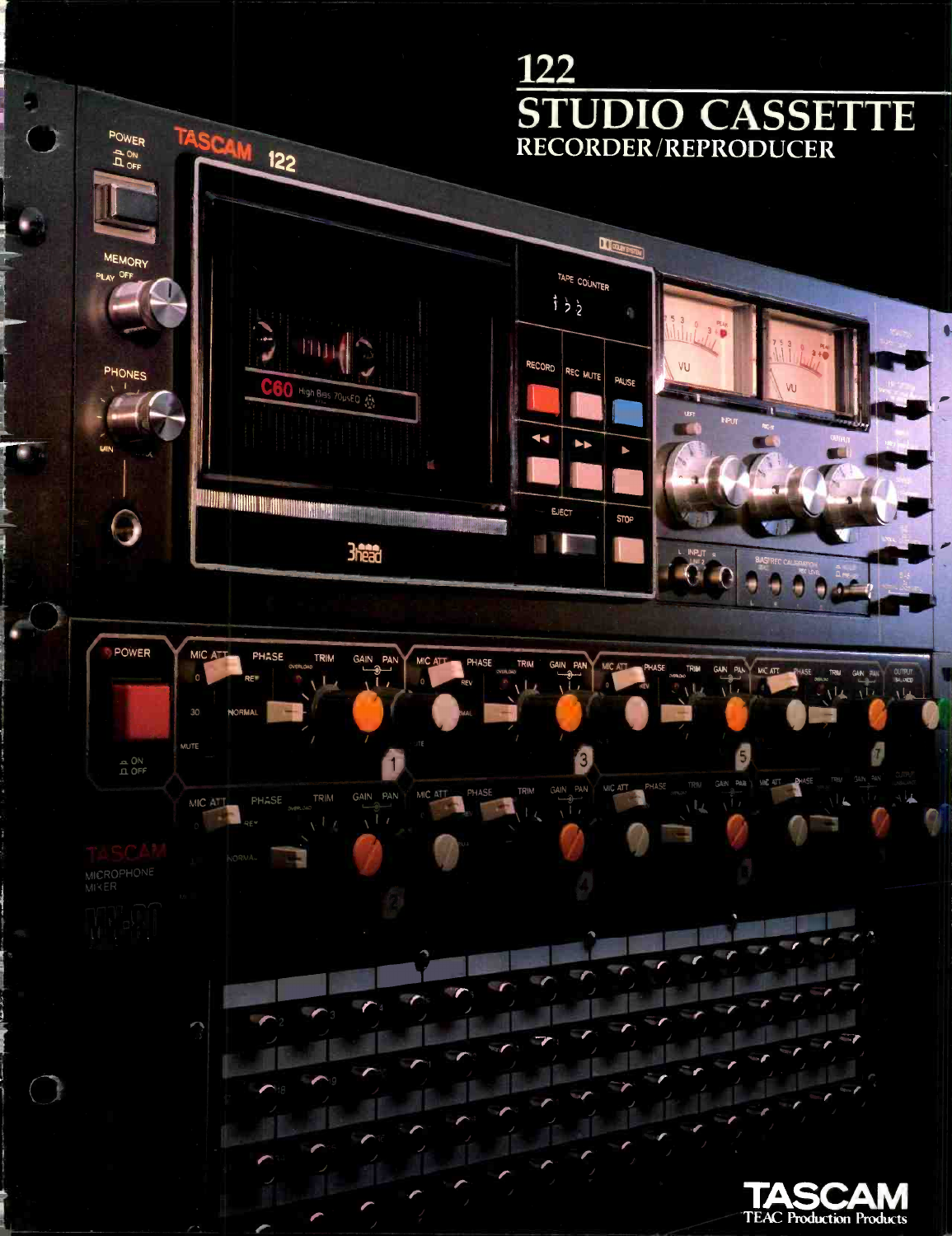# 122 STUDIO CASSETTE TASCAM 122 POWER RECORDER/REPRODUCER **AOFF**  $s.$  5 ra liftezt;a **LEGAN BYSIN MEMORY** TAPE COUNTER PLAY OFF itt.Or  $\frac{1}{2}$ **WOOD COMPANY** mun RECORD VU PHONES REC MUTE PAUSE O High Biss 70usED 44 Ы **LANN**  $\Theta$  is a monomial moment  $\Theta$ EJECT **STOP** 111.111111"1111111111111.  $+ -$ POWER  $MICA$ PHASE <sub>overlow</sub> TRIM GAIN PAN MIC ATT PHASE TRIM<br>RE REVIEW LAND LI II MIC ATT PHASE **MERLOND IRIM GAIN PAN** TRIM GAIN PANY MICHT WAS SHE THAT GAN THE GAN THE GAN PAN ...  $PEV$   $\frac{1}{1}$ ,IEV 30 NORMAL 111 o o **o** and the set  $\frac{1}{1}$  OFF PAIE MC 43 GAIN \ PHASE TRIM GAIN PAN Ilk I / MICATT PHASE TRIM GAIN PAN MICATT  $\sqrt{L}$ r an s. "It experiences a set of the other parties of the other parties of the other parties of the other parties of the other parties of the other parties of the other parties of the other parties of the other parties of the othe moo 0110101 417 179 Ire"' Illirrs  $\frac{1}{2}$ 11111111111111011  $\mathcal{L}$  $\frac{1}{2}$  r<sub>3</sub> r r  $\overline{r}$ frr <sup>r</sup> fr- r TASCAM TEAC Production Products

p.

 $\bigcap$ 

۷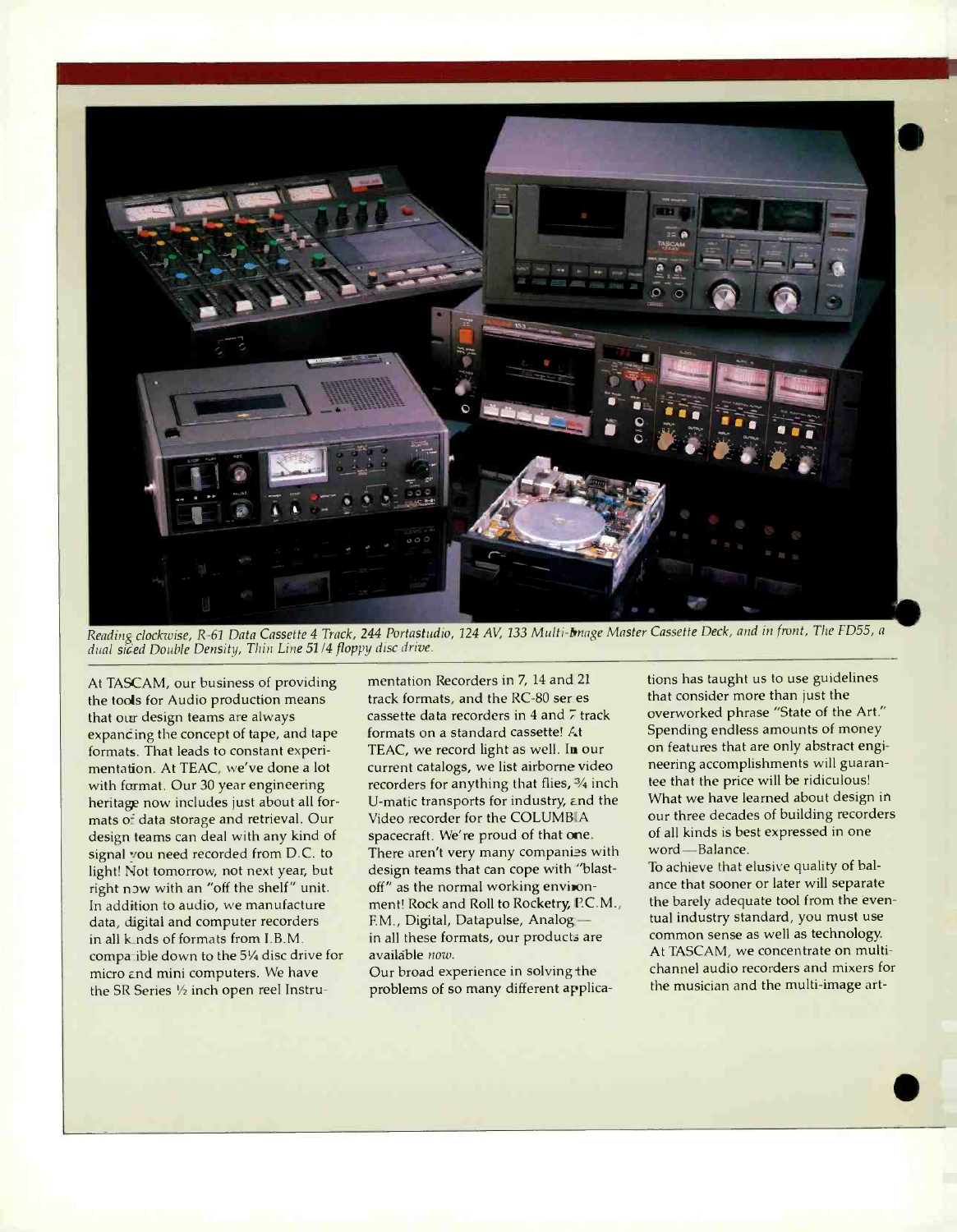

Reading clockwise, R-61 Data Cassette 4 Track, 244 Portastudio, 124 AV, 133 Multi-bange Master Cassette Deck, and in front, The FD55, a<br>dual siced Double Density, Thin Line 51/4 floppy disc drive.

At TASCAM, our business of providing the tools for Audio production means that our design teams are always expancing the concept of tape, and tape formats. That leads to constant experimentation. At TEAC, we've done a lot with format. Our 30 year engineering heritage now includes just about all formats of data storage and retrieval. Our design teams can deal with any kind of signal you need recorded from D.C. to light! Not tomorrow, not next year, but right now with an "off the shelf" unit. In addition to audio, we manufacture data, digital and computer recorders in all k\_nds of formats from I.B.M. compatible down to the 51/4 disc drive for micro and mini computers. We have the SR Series 1/2 inch open reel Instrumentation Recorders in 7, 14 and <sup>21</sup> track formats, and the RC-80 ser es cassette data recorders in 4 and 7 track formats on a standard cassette! At TEAC, we record light as well. In our current catalogs, we list airborne video recorders for anything that flies, 3/4 inch U-matic transports for industry, and the Video recorder for the COLUMBIA spacecraft. We're proud of that one. There aren't very many companies with design teams that can cope with 'blastoff" as the normal working environment! Rock and Roll to Rocketry, P.C.M., the bare<br>F.M., Digital, Datapulse, Analog — tual ind in all these formats, our products are availáble now.

Our broad experience in solving the problems of so many different applicafions has taught us to use guidelines that consider more than just the overworked phrase "State of the Art." Spending endless amounts of money on features that are only abstract engineering accomplishments will guarantee that the price will be ridiculous! What we have learned about design in our three decades of building recorders of all kinds is best expressed in one word-Balance.

To achieve that elusive quality of balance that sooner or later will separate the barely adequate tool from the eventual industry standard, you must use common sense as well as technology. At TASCAM, we concentrate on multichannel audio recorders and mixers for the musician and the multi-image art-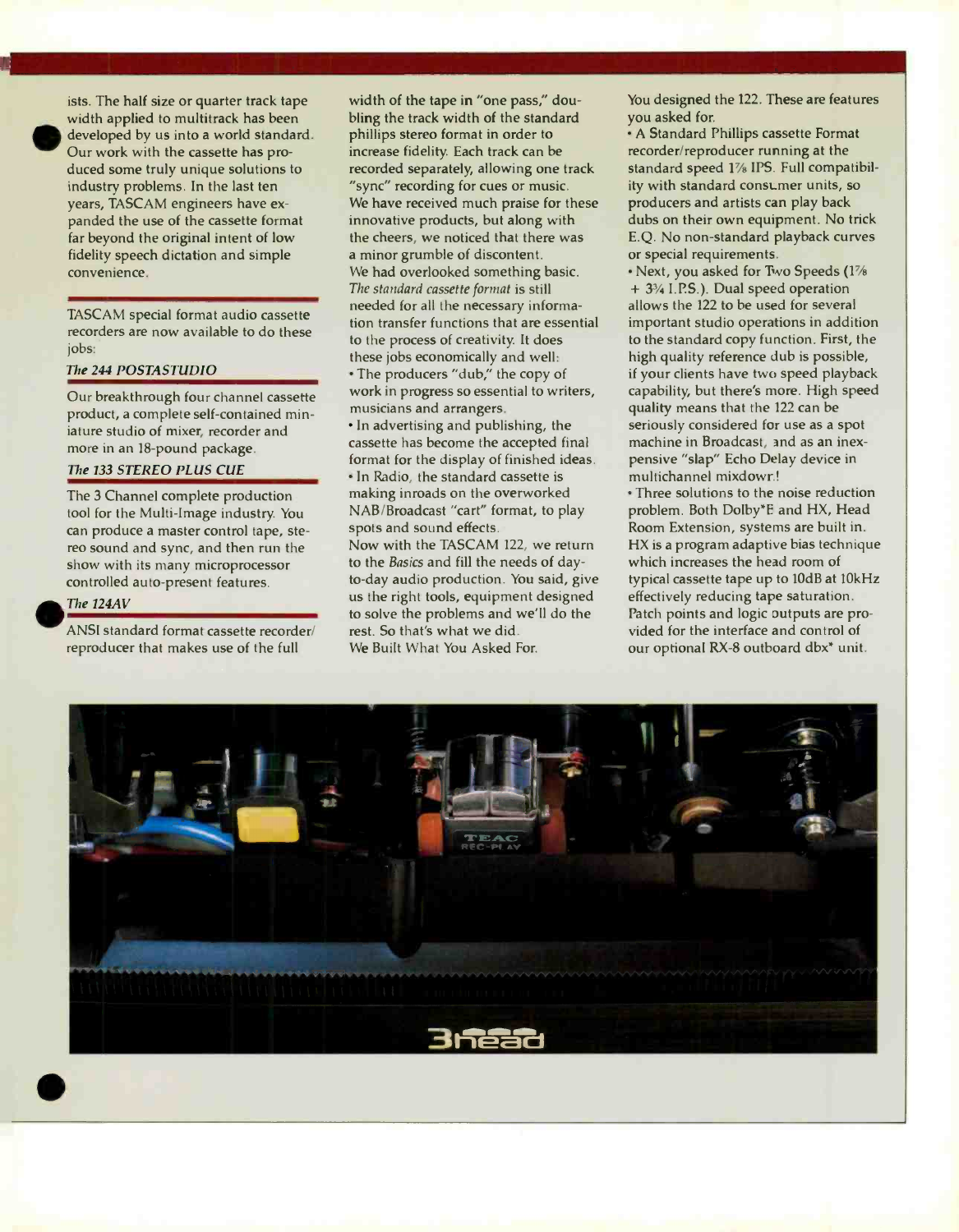

ists. The half size or quarter track tape width applied to multitrack has been developed by us into a world standard. Our work with the cassette has produced some truly unique solutions to industry problems. In the last ten years, TASCAM engineers have ex panded the use of the cassette format far beyond the original intent of low fidelity speech dictation and simple convenience.

TASCAM special format audio cassette recorders are now available to do these jobs:

# The 244 POSTASTUDIO

Our breakthrough four channel cassette product, a complete self-contained miniature studio of mixer, recorder and more in an 18-pound package.

# The 133 STEREO PLUS CUE

The 3 Channel complete production tool for the Multi-Image industry. You can produce a master control tape, ste reo sound and sync, and then run the show with its many microprocessor controlled auto-present features.

#### The 124AV

ANSI standard format cassette recorder/ reproducer that makes use of the full

width of the tape in "one pass," doubling the track width of the standard phillips stereo format in order to increase fidelity. Each track can be recorded separately, allowing one track "sync" recording for cues or music. We have received much praise for these innovative products, but along with the cheers, we noticed that there was a minor grumble of discontent. We had overlooked something basic. The standard cassette format is still needed for all the necessary information transfer functions that are essential to the process of creativity. It does these jobs economically and well: The producers "dub," the copy of work in progress so essential to writers, musicians and arrangers.

In advertising and publishing, the cassette has become the accepted final format for the display of finished ideas. In Radio, the standard cassette is making inroads on the overworked NAB/Broadcast "cart" format, to play spots and sound effects.

Now with the TASCAM 122, we return to the Basics and fill the needs of dayto -day audio production. You said, give us the right tools, equipment designed to solve the problems and we'll do the rest. So that's what we did. We Built What You Asked For.

You designed the 122. These are features you asked for.

A Standard Phillips cassette Format recorder/reproducer running at the standard speed 1% IPS. Full compatibility with standard consLmer units, so producers and artists can play back dubs on their own equipment. No trick E.Q. No non -standard playback curves or special requirements.

• Next, you asked for Two Speeds (1%<br>+ 3<sup>3</sup>/<sub>4</sub> I.P.S.). Dual speed operation allows the 122 to be used for several important studio operations in addition to the standard copy function. First, the high quality reference dub is possible, if your clients have two speed playback capability, but there's more. High speed quality means that the 122 can be seriously considered for use as a spot machine in Broadcast, and as an inexpensive "slap" Echo Delay device in multichannel mixdowr.!

Three solutions to the noise reduction problem. Both Dolby \*E and HX, Head Room Extension, systems are built in. HX is a program adaptive bias technique which increases the head room of typical cassette tape up to 10dB at 10kHz effectively reducing tape saturation. Patch points and logic outputs are provided for the interface and control of our optional RX -8 outboard dbx\* unit.

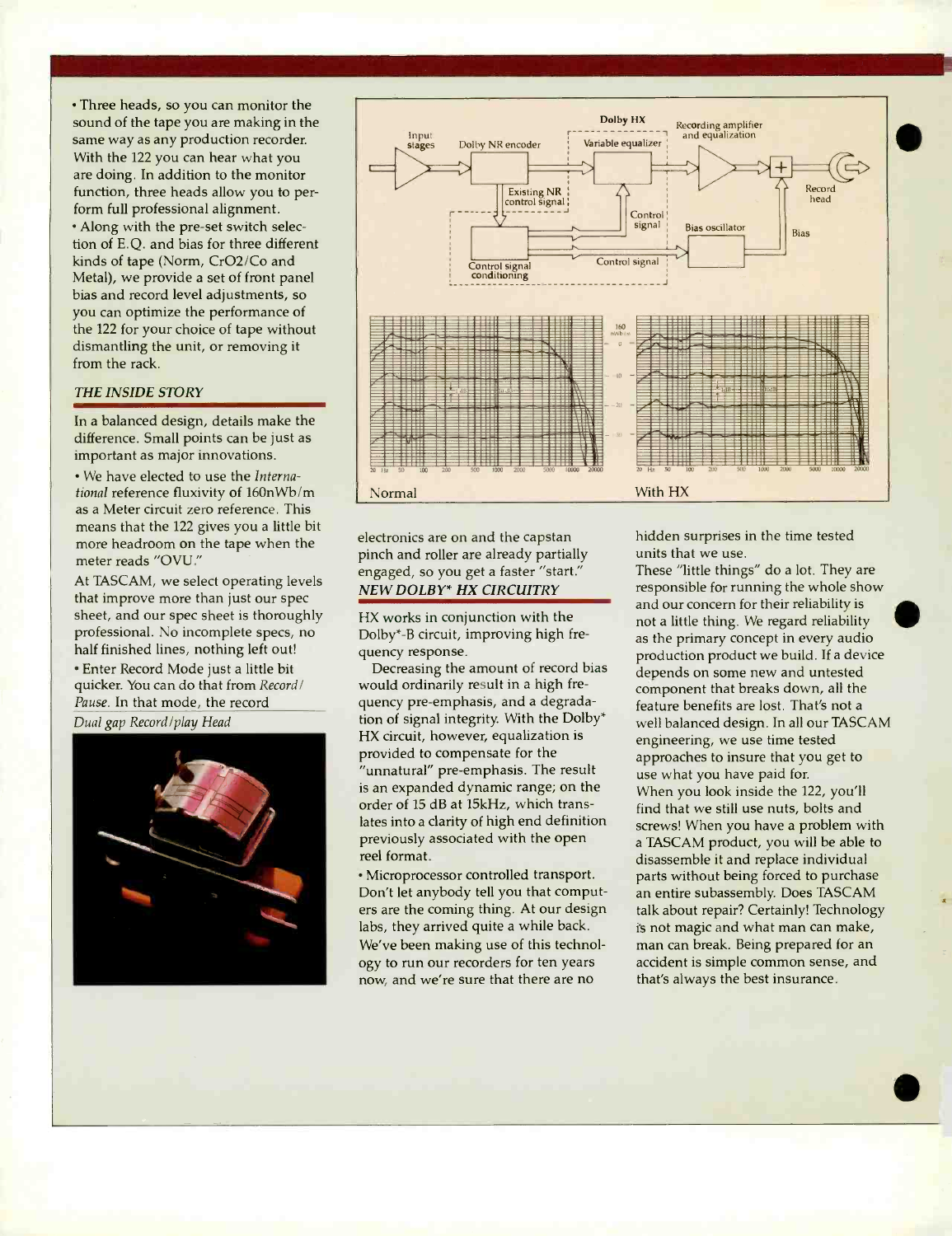Three heads, so you can monitor the sound of the tape you are making in the same way as any production recorder. With the 122 you can hear what you are doing. In addition to the monitor function, three heads allow you to perform full professional alignment. • Along with the pre-set switch selection of E.Q. and bias for three different kinds of tape (Norm, CrO2/Co and Metal), we provide a set of front panel bias and record level adjustments, so you can optimize the performance of the 122 for your choice of tape without dismantling the unit, or removing it from the rack.

## THE INSIDE STORY

In a balanced design, details make the difference. Small points can be just as important as major innovations.

We have elected to use the International reference fluxivity of 160nWb /m as a Meter circuit zero reference. This means that the 122 gives you a little bit more headroom on the tape when the meter reads "OVU."

At TASCAM, we select operating levels that improve more than just our spec sheet, and our spec sheet is thoroughly professional. No incomplete specs, no half finished lines, nothing left out!

Enter Record Mode just a little bit quicker. You can do that from Record/ Pause. In that mode, the record

Dual gap Record/play Head





electronics are on and the capstan pinch and roller are already partially engaged, so you get a faster "start." NEW DOLBY\* HX CIRCUITRY

HX works in conjunction with the Dolby\* -B circuit, improving high frequency response.

Decreasing the amount of record bias would ordinarily result in a high frequency pre-emphasis, and a degradation of signal integrity. With the Dolby\* HX circuit, however, equalization is provided to compensate for the "unnatural" pre -emphasis. The result is an expanded dynamic range; on the order of 15 dB at 15kHz, which translates into a clarity of high end definition previously associated with the open reel format.

Microprocessor controlled transport. Don't let anybody tell you that computers are the coming thing. At our design labs, they arrived quite a while back. We've been making use of this technology to run our recorders for ten years now, and we're sure that there are no

hidden surprises in the time tested units that we use.

These "little things" do a lot. They are responsible for running the whole show and our concern for their reliability is not a little thing. We regard reliability as the primary concept in every audio production product we build. If a device depends on some new and untested component that breaks down, all the feature benefits are lost. That's not a well balanced design. In all our TASCAM engineering, we use time tested approaches to insure that you get to use what you have paid for. When you look inside the 122, you'll find that we still use nuts, bolts and screws! When you have a problem with a TASCAM product, you will be able to disassemble it and replace individual parts without being forced to purchase an entire subassembly. Does TASCAM talk about repair? Certainly! Technology is not magic and what man can make, man can break. Being prepared for an accident is simple common sense, and that's always the best insurance.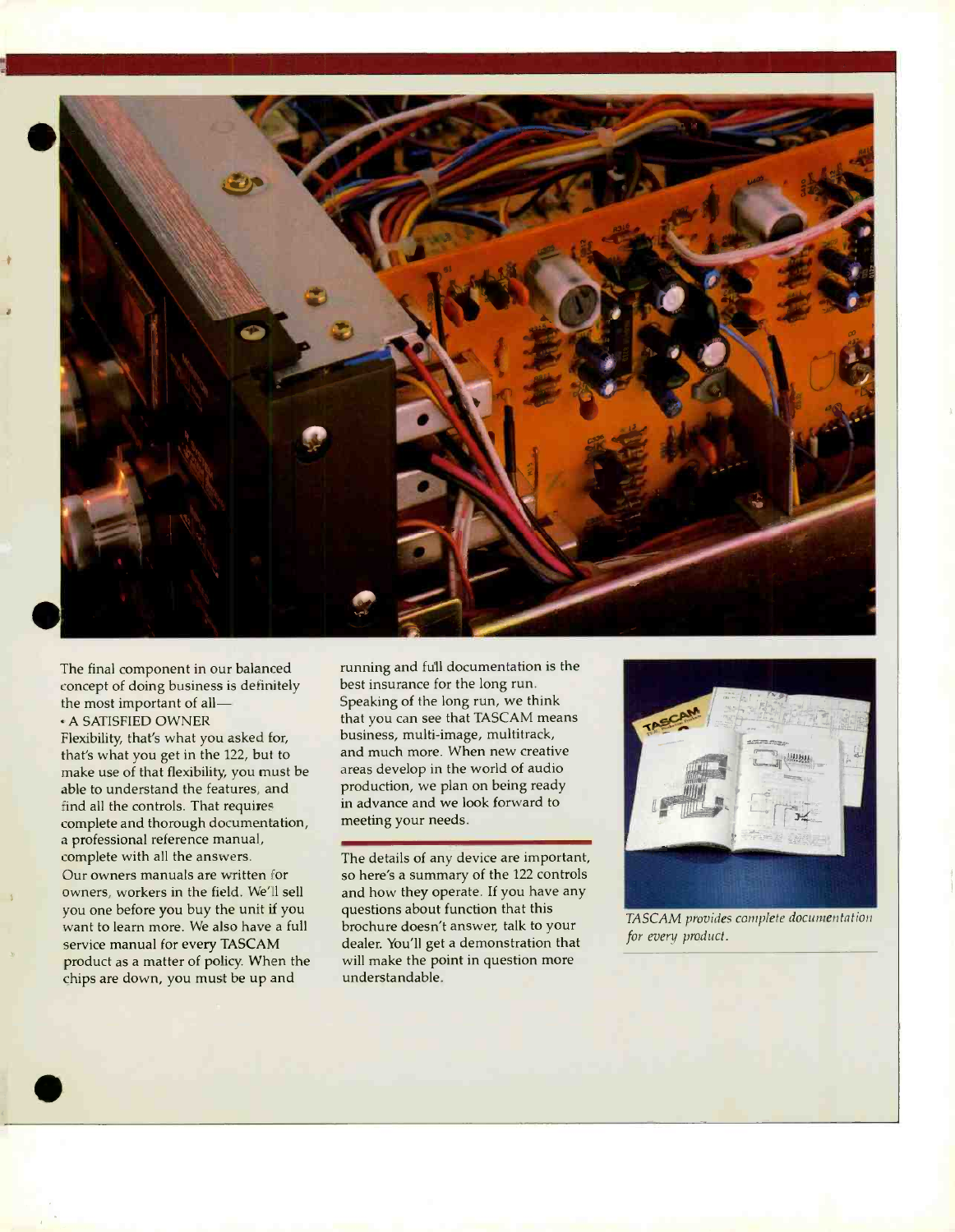

The final component in our balanced concept of doing business is definitely the most important of all-A SATISFIED OWNER

Flexibility, that's what you asked for, that's what you get in the 122, but to make use of that flexibility, you must be able to understand the features, and find all the controls. That requires complete and thorough documentation, a professional reference manual, complete with all the answers. Our owners manuals are written for owners, workers in the field. We'll sell you one before you buy the unit if you want to learn more. We also have a full service manual for every TASCAM product as a matter of policy. When the chips are down, you must be up and

running and full documentation is the best insurance for the long run. Speaking of the long run, we think that you can see that TASCAM means business, multi-image, multitrack, and much more. When new creative areas develop in the world of audio production, we plan on being ready in advance and we look forward to meeting your needs.

The details of any device are important, so here's a summary of the 122 controls and how they operate. If you have any questions about function that this brochure doesn't answer, talk to your dealer. You'll get a demonstration that will make the point in question more understandable.



TASCAM provides complete documentation for every product.

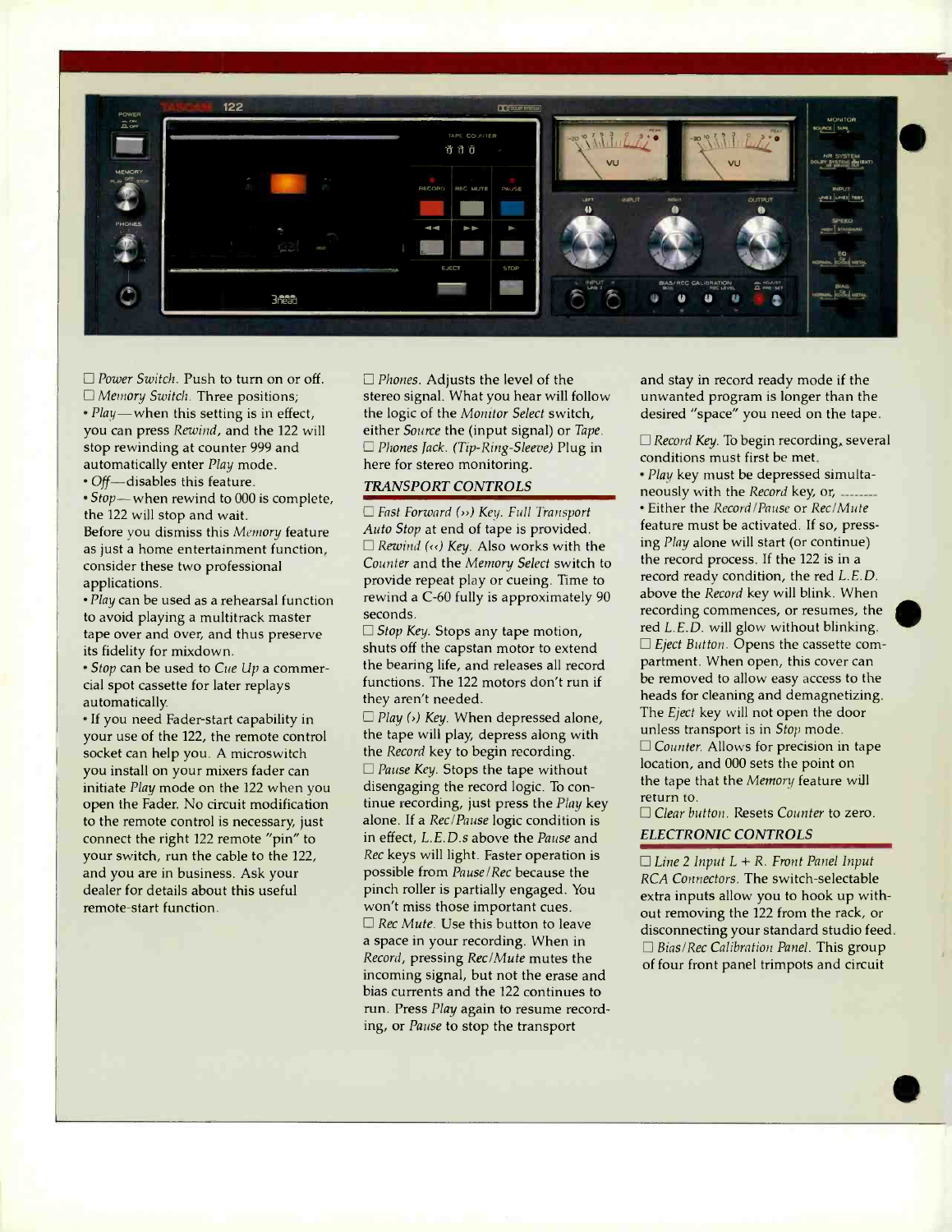

 $\Box$  Power Switch. Push to turn on or off. □ Memory Switch. Three positions;  $\cdot$  *Play* — when this setting is in effect, you can press Rewind, and the 122 will stop rewinding at counter 999 and automatically enter Play mode. • Off-disables this feature.

• Stop-when rewind to 000 is complete, the 122 will stop and wait.

Before you dismiss this Memory feature as just a home entertainment function, consider these two professional applications.

Play can be used as a rehearsal function to avoid playing a multitrack master tape over and over, and thus preserve its fidelity for mixdown.

• Stop can be used to Cue Up a commercial spot cassette for later replays automatically.

If you need Fader -start capability in your use of the 122, the remote control socket can help you. A microswitch you install on your mixers fader can initiate Play mode on the 122 when you open the Fader. No circuit modification to the remote control is necessary, just connect the right 122 remote "pin" to your switch, run the cable to the 122, and you are in business. Ask your dealer for details about this useful remote-start function.

 $\Box$  Phones. Adjusts the level of the stereo signal. What you hear will follow the logic of the Monitor Select switch, either Source the (input signal) or Tape.  $\Box$  Phones Jack. (Tip-Ring-Sleeve) Plug in here for stereo monitoring.

## TRANSPORT CONTROLS

 $\Box$  Fast Forward  $(\rightarrow)$  Key. Full Transport Auto Stop at end of tape is provided.  $\Box$  Rewind ( $\langle \cdot \rangle$  Key. Also works with the Counter and the Memory Select switch to provide repeat play or cueing. Time to rewind a C-60 fully is approximately 90 seconds.

 $\Box$  Stop Key. Stops any tape motion, shuts off the capstan motor to extend the bearing life, and releases all record functions. The 122 motors don't run if they aren't needed.

 $\Box$  Play  $(\cdot)$  Key. When depressed alone, the tape will play, depress along with the Record key to begin recording.  $\Box$  Pause Key. Stops the tape without disengaging the record logic. To continue recording, just press the Play key alone. If a Rec/Pause logic condition is in effect, L.E.D.s above the Pause and Rec keys will light. Faster operation is possible from Pause/Rec because the pinch roller is partially engaged. You won't miss those important cues.  $\Box$  Rec Mute. Use this button to leave a space in your recording. When in Record, pressing Rec/Mute mutes the incoming signal, but not the erase and bias currents and the 122 continues to run. Press Play again to resume recording, or Pause to stop the transport

and stay in record ready mode if the unwanted program is longer than the desired "space" you need on the tape.

 $\Box$  Record Key. To begin recording, several conditions must first be met.

Play key must be depressed simultaneously with the Record key, or, **Either the Record / Pause or Rec/Mute** feature must be activated. If so, pressing Play alone will start (or continue) the record process. If the 122 is in a record ready condition, the red L.E.D. above the Record key will blink. When recording commences, or resumes, the red L.E.D. will glow without blinking.  $\square$  Eject Button. Opens the cassette compartment. When open, this cover can be removed to allow easy access to the heads for cleaning and demagnetizing. The Eject key will not open the door unless transport is in Stop mode.  $\Box$  Counter. Allows for precision in tape location, and 000 sets the point on the tape that the Memory feature will return to. □ Clear button. Resets Counter to zero.

ELECTRONIC CONTROLS

 $\Box$  Line 2 Input  $L + R$ . Front Panel Input RCA Connectors. The switch-selectable extra inputs allow you to hook up without removing the 122 from the rack, or disconnecting your standard studio feed.  $\Box$  Bias/Rec Calibration Panel. This group of four front panel trimpots and circuit